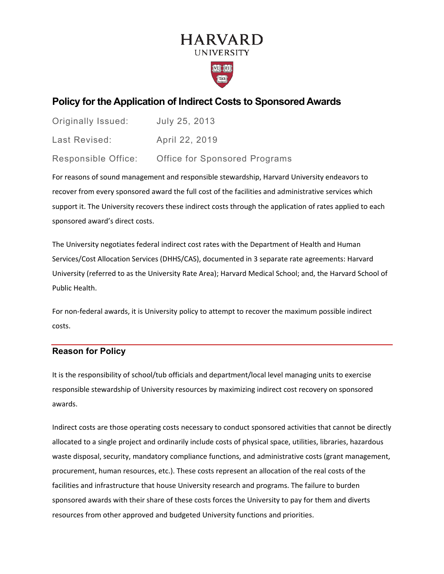# **HARVARD UNIVERSITY**



# **Policy for the Application of Indirect Costs to Sponsored Awards**

| <b>Originally Issued:</b> | July 25, 2013                        |
|---------------------------|--------------------------------------|
| Last Revised:             | April 22, 2019                       |
| Responsible Office:       | <b>Office for Sponsored Programs</b> |

For reasons of sound management and responsible stewardship, Harvard University endeavors to recover from every sponsored award the full cost of the facilities and administrative services which support it. The University recovers these indirect costs through the application of rates applied to each sponsored award's direct costs.

The University negotiates federal indirect cost rates with the Department of Health and Human Services/Cost Allocation Services (DHHS/CAS), documented in 3 separate rate agreements: Harvard University (referred to as the University Rate Area); Harvard Medical School; and, the Harvard School of Public Health.

For non-federal awards, it is University policy to attempt to recover the maximum possible indirect costs.

# **Reason for Policy**

It is the responsibility of school/tub officials and department/local level managing units to exercise responsible stewardship of University resources by maximizing indirect cost recovery on sponsored awards.

Indirect costs are those operating costs necessary to conduct sponsored activities that cannot be directly allocated to a single project and ordinarily include costs of physical space, utilities, libraries, hazardous waste disposal, security, mandatory compliance functions, and administrative costs (grant management, procurement, human resources, etc.). These costs represent an allocation of the real costs of the facilities and infrastructure that house University research and programs. The failure to burden sponsored awards with their share of these costs forces the University to pay for them and diverts resources from other approved and budgeted University functions and priorities.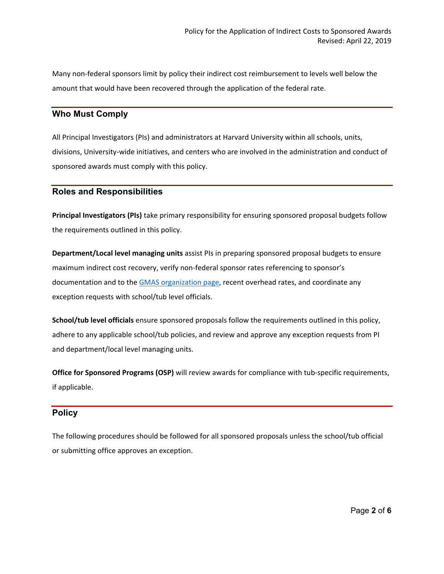Many non-federal sponsors limit by policy their indirect cost reimbursement to levels well below the amount that would have been recovered through the application of the federal rate.

### **Who Must Comply**

All Principal Investigators (PIs) and administrators at Harvard University within all schools, units, divisions, University-wide initiatives, and centers who are involved in the administration and conduct of sponsored awards must comply with this policy.

#### **Roles and Responsibilities**

**Principal Investigators (PIs)** take primary responsibility for ensuring sponsored proposal budgets follow the requirements outlined in this policy.

**Department/Local level managing units** assist PIs in preparing sponsored proposal budgets to ensure maximum indirect cost recovery, verify non-federal sponsor rates referencing to sponsor's documentation and to the [GMAS organization page,](https://osp.finance.harvard.edu/fa-rates-non-federal-sponsors) recent overhead rates, and coordinate any exception requests with school/tub level officials.

**School/tub level officials** ensure sponsored proposals follow the requirements outlined in this policy, adhere to any applicable school/tub policies, and review and approve any exception requests from PI and department/local level managing units.

**Office for Sponsored Programs (OSP)** will review awards for compliance with tub-specific requirements, if applicable.

### **Policy**

The following procedures should be followed for all sponsored proposals unless the school/tub official or submitting office approves an exception.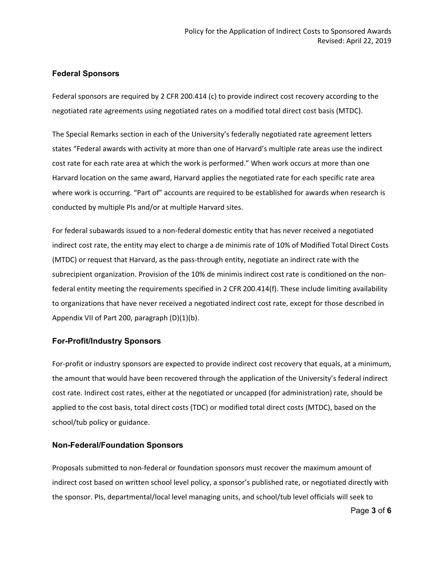### **Federal Sponsors**

Federal sponsors are required by 2 CFR 200.414 (c) to provide indirect cost recovery according to the negotiated rate agreements using negotiated rates on a modified total direct cost basis (MTDC).

The Special Remarks section in each of the University's federally negotiated rate agreement letters states "Federal awards with activity at more than one of Harvard's multiple rate areas use the indirect cost rate for each rate area at which the work is performed." When work occurs at more than one Harvard location on the same award, Harvard applies the negotiated rate for each specific rate area where work is occurring. "Part of" accounts are required to be established for awards when research is conducted by multiple PIs and/or at multiple Harvard sites.

For federal subawards issued to a non-federal domestic entity that has never received a negotiated indirect cost rate, the entity may elect to charge a de minimis rate of 10% of Modified Total Direct Costs (MTDC) or request that Harvard, as the pass-through entity, negotiate an indirect rate with the subrecipient organization. Provision of the 10% de minimis indirect cost rate is conditioned on the nonfederal entity meeting the requirements specified in 2 CFR 200.414(f). These include limiting availability to organizations that have never received a negotiated indirect cost rate, except for those described in Appendix VII of Part 200, paragraph (D)(1)(b).

#### **For-Profit/Industry Sponsors**

For-profit or industry sponsors are expected to provide indirect cost recovery that equals, at a minimum, the amount that would have been recovered through the application of the University's federal indirect cost rate. Indirect cost rates, either at the negotiated or uncapped (for administration) rate, should be applied to the cost basis, total direct costs (TDC) or modified total direct costs (MTDC), based on the school/tub policy or guidance.

#### **Non-Federal/Foundation Sponsors**

Proposals submitted to non-federal or foundation sponsors must recover the maximum amount of indirect cost based on written school level policy, a sponsor's published rate, or negotiated directly with the sponsor. PIs, departmental/local level managing units, and school/tub level officials will seek to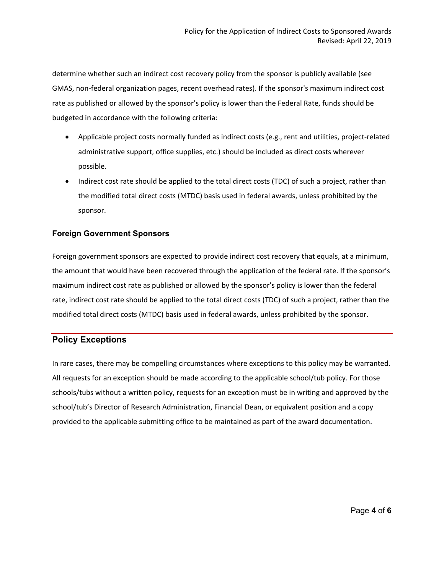determine whether such an indirect cost recovery policy from the sponsor is publicly available (see GMAS, non-federal organization pages, recent overhead rates). If the sponsor's maximum indirect cost rate as published or allowed by the sponsor's policy is lower than the Federal Rate, funds should be budgeted in accordance with the following criteria:

- Applicable project costs normally funded as indirect costs (e.g., rent and utilities, project-related administrative support, office supplies, etc.) should be included as direct costs wherever possible.
- Indirect cost rate should be applied to the total direct costs (TDC) of such a project, rather than the modified total direct costs (MTDC) basis used in federal awards, unless prohibited by the sponsor.

### **Foreign Government Sponsors**

Foreign government sponsors are expected to provide indirect cost recovery that equals, at a minimum, the amount that would have been recovered through the application of the federal rate. If the sponsor's maximum indirect cost rate as published or allowed by the sponsor's policy is lower than the federal rate, indirect cost rate should be applied to the total direct costs (TDC) of such a project, rather than the modified total direct costs (MTDC) basis used in federal awards, unless prohibited by the sponsor.

# **Policy Exceptions**

In rare cases, there may be compelling circumstances where exceptions to this policy may be warranted. All requests for an exception should be made according to the applicable school/tub policy. For those schools/tubs without a written policy, requests for an exception must be in writing and approved by the school/tub's Director of Research Administration, Financial Dean, or equivalent position and a copy provided to the applicable submitting office to be maintained as part of the award documentation.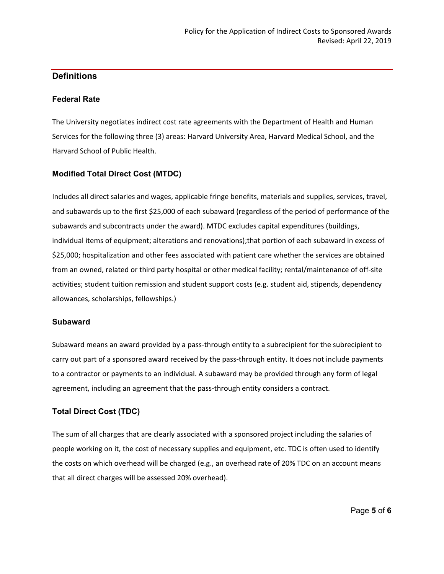# **Definitions**

### **Federal Rate**

The University negotiates indirect cost rate agreements with the Department of Health and Human Services for the following three (3) areas: Harvard University Area, Harvard Medical School, and the Harvard School of Public Health.

# **Modified Total Direct Cost (MTDC)**

Includes all direct salaries and wages, applicable fringe benefits, materials and supplies, services, travel, and subawards up to the first \$25,000 of each subaward (regardless of the period of performance of the subawards and subcontracts under the award). MTDC excludes capital expenditures (buildings, individual items of equipment; alterations and renovations);that portion of each subaward in excess of \$25,000; hospitalization and other fees associated with patient care whether the services are obtained from an owned, related or third party hospital or other medical facility; rental/maintenance of off-site activities; student tuition remission and student support costs (e.g. student aid, stipends, dependency allowances, scholarships, fellowships.)

### **Subaward**

Subaward means an award provided by a pass-through entity to a subrecipient for the subrecipient to carry out part of a sponsored award received by the pass-through entity. It does not include payments to a contractor or payments to an individual. A subaward may be provided through any form of legal agreement, including an agreement that the pass-through entity considers a contract.

# **Total Direct Cost (TDC)**

The sum of all charges that are clearly associated with a sponsored project including the salaries of people working on it, the cost of necessary supplies and equipment, etc. TDC is often used to identify the costs on which overhead will be charged (e.g., an overhead rate of 20% TDC on an account means that all direct charges will be assessed 20% overhead).